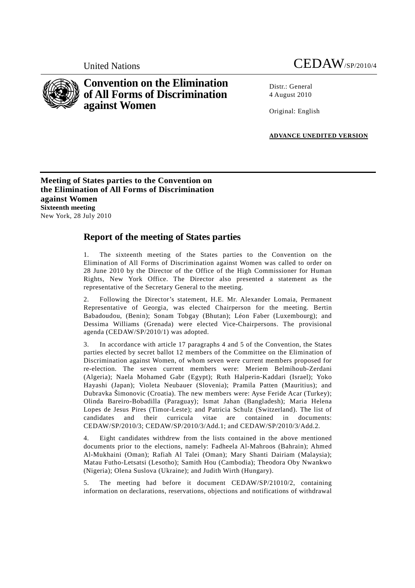

## **Convention on the Elimination of All Forms of Discrimination against Women**

Distr.: General 4 August 2010

Original: English

**ADVANCE UNEDITED VERSION**

**Meeting of States parties to the Convention on the Elimination of All Forms of Discrimination against Women Sixteenth meeting**  New York, 28 July 2010

## **Report of the meeting of States parties**

1. The sixteenth meeting of the States parties to the Convention on the Elimination of All Forms of Discrimination against Women was called to order on 28 June 2010 by the Director of the Office of the High Commissioner for Human Rights, New York Office. The Director also presented a statement as the representative of the Secretary General to the meeting.

2. Following the Director's statement, H.E. Mr. Alexander Lomaia, Permanent Representative of Georgia, was elected Chairperson for the meeting. Bertin Babadoudou, (Benin); Sonam Tobgay (Bhutan); Léon Faber (Luxembourg); and Dessima Williams (Grenada) were elected Vice-Chairpersons. The provisional agenda (CEDAW/SP/2010/1) was adopted.

3. In accordance with article 17 paragraphs 4 and 5 of the Convention, the States parties elected by secret ballot 12 members of the Committee on the Elimination of Discrimination against Women, of whom seven were current members proposed for re-election. The seven current members were: Meriem Belmihoub-Zerdani (Algeria); Naela Mohamed Gabr (Egypt); Ruth Halperin-Kaddari (Israel); Yoko Hayashi (Japan); Violeta Neubauer (Slovenia); Pramila Patten (Mauritius); and Dubravka Šimonovic (Croatia). The new members were: Ayse Feride Acar (Turkey); Olinda Bareiro-Bobadilla (Paraguay); Ismat Jahan (Bangladesh); Maria Helena Lopes de Jesus Pires (Timor-Leste); and Patricia Schulz (Switzerland). The list of candidates and their curricula vitae are contained in documents: CEDAW/SP/2010/3; CEDAW/SP/2010/3/Add.1; and CEDAW/SP/2010/3/Add.2.

4. Eight candidates withdrew from the lists contained in the above mentioned documents prior to the elections, namely: Fadheela Al-Mahroos (Bahrain); Ahmed Al-Mukhaini (Oman); Rafiah Al Talei (Oman); Mary Shanti Dairiam (Malaysia); Matau Futho-Letsatsi (Lesotho); Samith Hou (Cambodia); Theodora Oby Nwankwo (Nigeria); Olena Suslova (Ukraine); and Judith Wirth (Hungary).

5. The meeting had before it document CEDAW/SP/21010/2, containing information on declarations, reservations, objections and notifications of withdrawal